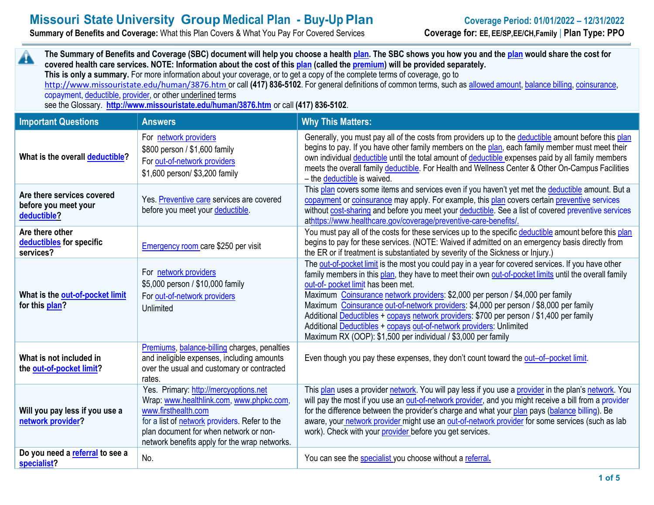## **Missouri State University Group Medical Plan - Buy-Up Plan Coverage Period: 01/01/2022 – 12/31/2022**<br> **Summary of Benefits and Coverage:** What this Plan Covers & What You Pay For Covered Services **Coverage for: EE, EE/S**

**Summary of Benefits and Coverage: What this Plan Covers & What You Pay For Covered Services** 

| The Summary of Benefits and Coverage (SBC) document will help you choose a health plan. The SBC shows you how you and the plan would share the cost for<br>A<br>covered health care services. NOTE: Information about the cost of this plan (called the premium) will be provided separately.<br>This is only a summary. For more information about your coverage, or to get a copy of the complete terms of coverage, go to<br>http://www.missouristate.edu/human/3876.htm or call (417) 836-5102. For general definitions of common terms, such as allowed amount, balance billing, coinsurance,<br>copayment, deductible, provider, or other underlined terms<br>see the Glossary. http://www.missouristate.edu/human/3876.htm or call (417) 836-5102. |                                                                                                                                                                                                                                                             |                                                                                                                                                                                                                                                                                                                                                                                                                                                                                                                                                                                                                                                                    |  |  |  |
|-----------------------------------------------------------------------------------------------------------------------------------------------------------------------------------------------------------------------------------------------------------------------------------------------------------------------------------------------------------------------------------------------------------------------------------------------------------------------------------------------------------------------------------------------------------------------------------------------------------------------------------------------------------------------------------------------------------------------------------------------------------|-------------------------------------------------------------------------------------------------------------------------------------------------------------------------------------------------------------------------------------------------------------|--------------------------------------------------------------------------------------------------------------------------------------------------------------------------------------------------------------------------------------------------------------------------------------------------------------------------------------------------------------------------------------------------------------------------------------------------------------------------------------------------------------------------------------------------------------------------------------------------------------------------------------------------------------------|--|--|--|
| <b>Important Questions</b>                                                                                                                                                                                                                                                                                                                                                                                                                                                                                                                                                                                                                                                                                                                                | <b>Answers</b>                                                                                                                                                                                                                                              | <b>Why This Matters:</b>                                                                                                                                                                                                                                                                                                                                                                                                                                                                                                                                                                                                                                           |  |  |  |
| What is the overall deductible?                                                                                                                                                                                                                                                                                                                                                                                                                                                                                                                                                                                                                                                                                                                           | For network providers<br>\$800 person / \$1,600 family<br>For out-of-network providers<br>\$1,600 person/ \$3,200 family                                                                                                                                    | Generally, you must pay all of the costs from providers up to the deductible amount before this plan<br>begins to pay. If you have other family members on the plan, each family member must meet their<br>own individual deductible until the total amount of deductible expenses paid by all family members<br>meets the overall family deductible. For Health and Wellness Center & Other On-Campus Facilities<br>- the deductible is waived.                                                                                                                                                                                                                   |  |  |  |
| Are there services covered<br>before you meet your<br>deductible?                                                                                                                                                                                                                                                                                                                                                                                                                                                                                                                                                                                                                                                                                         | Yes. Preventive care services are covered<br>before you meet your deductible.                                                                                                                                                                               | This plan covers some items and services even if you haven't yet met the deductible amount. But a<br>copayment or coinsurance may apply. For example, this plan covers certain preventive services<br>without cost-sharing and before you meet your deductible. See a list of covered preventive services<br>athttps://www.healthcare.gov/coverage/preventive-care-benefits/                                                                                                                                                                                                                                                                                       |  |  |  |
| Are there other<br>deductibles for specific<br>services?                                                                                                                                                                                                                                                                                                                                                                                                                                                                                                                                                                                                                                                                                                  | Emergency room care \$250 per visit                                                                                                                                                                                                                         | You must pay all of the costs for these services up to the specific deductible amount before this plan<br>begins to pay for these services. (NOTE: Waived if admitted on an emergency basis directly from<br>the ER or if treatment is substantiated by severity of the Sickness or Injury.)                                                                                                                                                                                                                                                                                                                                                                       |  |  |  |
| What is the out-of-pocket limit<br>for this plan?                                                                                                                                                                                                                                                                                                                                                                                                                                                                                                                                                                                                                                                                                                         | For network providers<br>\$5,000 person / \$10,000 family<br>For out-of-network providers<br>Unlimited                                                                                                                                                      | The out-of-pocket limit is the most you could pay in a year for covered services. If you have other<br>family members in this plan, they have to meet their own out-of-pocket limits until the overall family<br>out-of- pocket limit has been met.<br>Maximum Coinsurance network providers: \$2,000 per person / \$4,000 per family<br>Maximum Coinsurance out-of-network providers: \$4,000 per person / \$8,000 per family<br>Additional Deductibles + copays network providers: \$700 per person / \$1,400 per family<br>Additional Deductibles + copays out-of-network providers: Unlimited<br>Maximum RX (OOP): \$1,500 per individual / \$3,000 per family |  |  |  |
| What is not included in<br>the out-of-pocket limit?                                                                                                                                                                                                                                                                                                                                                                                                                                                                                                                                                                                                                                                                                                       | Premiums, balance-billing charges, penalties<br>and ineligible expenses, including amounts<br>over the usual and customary or contracted<br>rates.                                                                                                          | Even though you pay these expenses, they don't count toward the out-of-pocket limit.                                                                                                                                                                                                                                                                                                                                                                                                                                                                                                                                                                               |  |  |  |
| Will you pay less if you use a<br>network provider?                                                                                                                                                                                                                                                                                                                                                                                                                                                                                                                                                                                                                                                                                                       | Yes. Primary: http://mercyoptions.net<br>Wrap: www.healthlink.com, www.phpkc.com,<br>www.firsthealth.com<br>for a list of <b>network</b> providers. Refer to the<br>plan document for when network or non-<br>network benefits apply for the wrap networks. | This plan uses a provider network. You will pay less if you use a provider in the plan's network. You<br>will pay the most if you use an out-of-network provider, and you might receive a bill from a provider<br>for the difference between the provider's charge and what your plan pays (balance billing). Be<br>aware, your network provider might use an out-of-network provider for some services (such as lab<br>work). Check with your provider before you get services.                                                                                                                                                                                   |  |  |  |
| Do you need a referral to see a<br>specialist?                                                                                                                                                                                                                                                                                                                                                                                                                                                                                                                                                                                                                                                                                                            | No.                                                                                                                                                                                                                                                         | You can see the specialist you choose without a referral.                                                                                                                                                                                                                                                                                                                                                                                                                                                                                                                                                                                                          |  |  |  |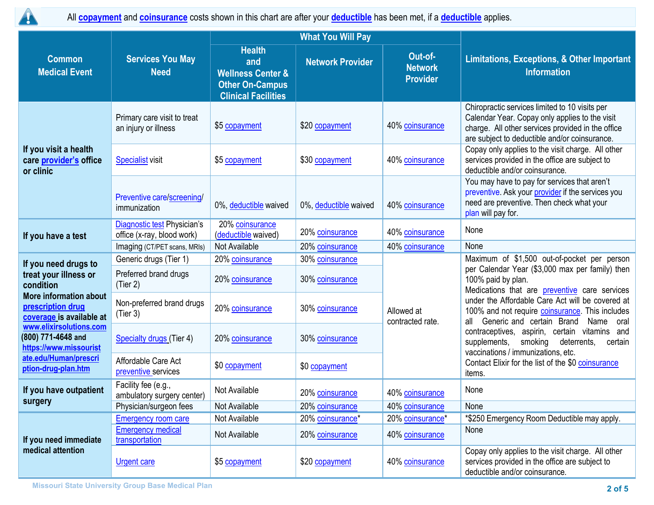All **[copayment](https://www.healthcare.gov/sbc-glossary/#copayment)** and **[coinsurance](https://www.healthcare.gov/sbc-glossary/#coinsurance)** costs shown in this chart are after your **[deductible](https://www.healthcare.gov/sbc-glossary/#deductible)** has been met, if a **[deductible](https://www.healthcare.gov/sbc-glossary/#deductible)** applies.

|                                                                                                                      | <b>Services You May</b><br><b>Need</b>                    | <b>What You Will Pay</b>                                                                                     |                         |                                              |                                                                                                                                                                                                                                                                                                                                                                                                                                                                           |  |
|----------------------------------------------------------------------------------------------------------------------|-----------------------------------------------------------|--------------------------------------------------------------------------------------------------------------|-------------------------|----------------------------------------------|---------------------------------------------------------------------------------------------------------------------------------------------------------------------------------------------------------------------------------------------------------------------------------------------------------------------------------------------------------------------------------------------------------------------------------------------------------------------------|--|
| <b>Common</b><br><b>Medical Event</b>                                                                                |                                                           | <b>Health</b><br>and<br><b>Wellness Center &amp;</b><br><b>Other On-Campus</b><br><b>Clinical Facilities</b> | <b>Network Provider</b> | Out-of-<br><b>Network</b><br><b>Provider</b> | <b>Limitations, Exceptions, &amp; Other Important</b><br><b>Information</b>                                                                                                                                                                                                                                                                                                                                                                                               |  |
| If you visit a health<br>care provider's office<br>or clinic                                                         | Primary care visit to treat<br>an injury or illness       | \$5 copayment                                                                                                | \$20 copayment          | 40% coinsurance                              | Chiropractic services limited to 10 visits per<br>Calendar Year. Copay only applies to the visit<br>charge. All other services provided in the office<br>are subject to deductible and/or coinsurance.                                                                                                                                                                                                                                                                    |  |
|                                                                                                                      | <b>Specialist visit</b>                                   | \$5 copayment                                                                                                | \$30 copayment          | 40% coinsurance                              | Copay only applies to the visit charge. All other<br>services provided in the office are subject to<br>deductible and/or coinsurance.                                                                                                                                                                                                                                                                                                                                     |  |
|                                                                                                                      | Preventive care/screening/<br>immunization                | 0%, deductible waived                                                                                        | 0%, deductible waived   | 40% coinsurance                              | You may have to pay for services that aren't<br>preventive. Ask your provider if the services you<br>need are preventive. Then check what your<br>plan will pay for.                                                                                                                                                                                                                                                                                                      |  |
| If you have a test                                                                                                   | Diagnostic test Physician's<br>office (x-ray, blood work) | 20% coinsurance<br>(deductible waived)                                                                       | 20% coinsurance         | 40% coinsurance                              | None                                                                                                                                                                                                                                                                                                                                                                                                                                                                      |  |
|                                                                                                                      | Imaging (CT/PET scans, MRIs)                              | Not Available                                                                                                | 20% coinsurance         | 40% coinsurance                              | None                                                                                                                                                                                                                                                                                                                                                                                                                                                                      |  |
| If you need drugs to                                                                                                 | Generic drugs (Tier 1)                                    | 20% coinsurance                                                                                              | 30% coinsurance         |                                              | Maximum of \$1,500 out-of-pocket per person<br>per Calendar Year (\$3,000 max per family) then<br>100% paid by plan.<br>Medications that are preventive care services<br>under the Affordable Care Act will be covered at<br>100% and not require coinsurance. This includes<br>Generic and certain Brand<br>all<br>Name oral<br>contraceptives, aspirin, certain vitamins and<br>deterrents,<br>supplements,<br>smoking<br>certain<br>vaccinations / immunizations, etc. |  |
| treat your illness or<br>condition<br><b>More information about</b><br>prescription drug<br>coverage is available at | Preferred brand drugs<br>(Tier 2)                         | 20% coinsurance                                                                                              | 30% coinsurance         |                                              |                                                                                                                                                                                                                                                                                                                                                                                                                                                                           |  |
|                                                                                                                      | Non-preferred brand drugs<br>(Tier 3)                     | 20% coinsurance                                                                                              | 30% coinsurance         | Allowed at<br>contracted rate.               |                                                                                                                                                                                                                                                                                                                                                                                                                                                                           |  |
| www.elixirsolutions.com<br>(800) 771-4648 and<br>https://www.missourist                                              | <b>Specialty drugs (Tier 4)</b>                           | 20% coinsurance                                                                                              | 30% coinsurance         |                                              |                                                                                                                                                                                                                                                                                                                                                                                                                                                                           |  |
| ate.edu/Human/prescri<br>ption-drug-plan.htm                                                                         | Affordable Care Act<br>preventive services                | \$0 copayment                                                                                                | \$0 copayment           |                                              | Contact Elixir for the list of the \$0 coinsurance<br>items.                                                                                                                                                                                                                                                                                                                                                                                                              |  |
| If you have outpatient<br>surgery                                                                                    | Facility fee (e.g.,<br>ambulatory surgery center)         | Not Available                                                                                                | 20% coinsurance         | 40% coinsurance                              | None                                                                                                                                                                                                                                                                                                                                                                                                                                                                      |  |
|                                                                                                                      | Physician/surgeon fees                                    | Not Available                                                                                                | 20% coinsurance         | 40% coinsurance                              | None                                                                                                                                                                                                                                                                                                                                                                                                                                                                      |  |
|                                                                                                                      | <b>Emergency room care</b>                                | Not Available                                                                                                | 20% coinsurance*        | 20% coinsurance*                             | *\$250 Emergency Room Deductible may apply.                                                                                                                                                                                                                                                                                                                                                                                                                               |  |
| If you need immediate<br>medical attention                                                                           | <b>Emergency medical</b><br>transportation                | Not Available                                                                                                | 20% coinsurance         | 40% coinsurance                              | None                                                                                                                                                                                                                                                                                                                                                                                                                                                                      |  |
|                                                                                                                      | <b>Urgent care</b>                                        | \$5 copayment                                                                                                | \$20 copayment          | 40% coinsurance                              | Copay only applies to the visit charge. All other<br>services provided in the office are subject to<br>deductible and/or coinsurance.                                                                                                                                                                                                                                                                                                                                     |  |

И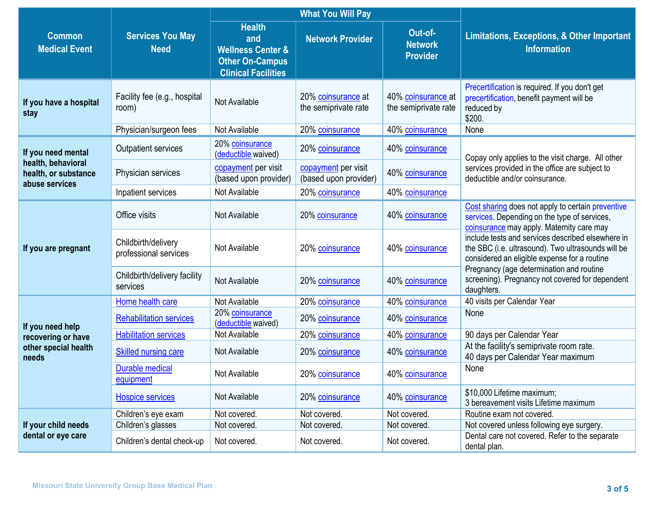|                                                                         | <b>Services You May</b><br><b>Need</b>       | <b>What You Will Pay</b>                                                                                     |                                              |                                              |                                                                                                                                                         |  |
|-------------------------------------------------------------------------|----------------------------------------------|--------------------------------------------------------------------------------------------------------------|----------------------------------------------|----------------------------------------------|---------------------------------------------------------------------------------------------------------------------------------------------------------|--|
| <b>Common</b><br><b>Medical Event</b>                                   |                                              | <b>Health</b><br>and<br><b>Wellness Center &amp;</b><br><b>Other On-Campus</b><br><b>Clinical Facilities</b> | <b>Network Provider</b>                      | Out-of-<br><b>Network</b><br><b>Provider</b> | <b>Limitations, Exceptions, &amp; Other Important</b><br><b>Information</b>                                                                             |  |
| If you have a hospital<br>stay                                          | Facility fee (e.g., hospital<br>room)        | Not Available                                                                                                | 20% coinsurance at<br>the semiprivate rate   | 40% coinsurance at<br>the semiprivate rate   | Precertification is required. If you don't get<br>precertification, benefit payment will be<br>reduced by<br>\$200.                                     |  |
|                                                                         | Physician/surgeon fees                       | Not Available                                                                                                | 20% coinsurance                              | 40% coinsurance                              | None                                                                                                                                                    |  |
| If you need mental                                                      | Outpatient services                          | 20% coinsurance<br>(deductible waived)                                                                       | 20% coinsurance                              | 40% coinsurance                              | Copay only applies to the visit charge. All other<br>services provided in the office are subject to<br>deductible and/or coinsurance.                   |  |
| health, behavioral<br>health, or substance<br>abuse services            | Physician services                           | copayment per visit<br>(based upon provider)                                                                 | copayment per visit<br>(based upon provider) | 40% coinsurance                              |                                                                                                                                                         |  |
|                                                                         | Inpatient services                           | Not Available                                                                                                | 20% coinsurance                              | 40% coinsurance                              |                                                                                                                                                         |  |
| If you are pregnant                                                     | Office visits                                | Not Available                                                                                                | 20% coinsurance                              | 40% coinsurance                              | Cost sharing does not apply to certain preventive<br>services. Depending on the type of services,<br>coinsurance may apply. Maternity care may          |  |
|                                                                         | Childbirth/delivery<br>professional services | Not Available                                                                                                | 20% coinsurance                              | 40% coinsurance                              | include tests and services described elsewhere in<br>the SBC (i.e. ultrasound). Two ultrasounds will be<br>considered an eligible expense for a routine |  |
|                                                                         | Childbirth/delivery facility<br>services     | Not Available                                                                                                | 20% coinsurance                              | 40% coinsurance                              | Pregnancy (age determination and routine<br>screening). Pregnancy not covered for dependent<br>daughters.                                               |  |
|                                                                         | Home health care                             | Not Available                                                                                                | 20% coinsurance                              | 40% coinsurance                              | 40 visits per Calendar Year                                                                                                                             |  |
| If you need help<br>recovering or have<br>other special health<br>needs | <b>Rehabilitation services</b>               | 20% coinsurance<br>(deductible waived)                                                                       | 20% coinsurance                              | 40% coinsurance                              | None                                                                                                                                                    |  |
|                                                                         | <b>Habilitation services</b>                 | Not Available                                                                                                | 20% coinsurance                              | 40% coinsurance                              | 90 days per Calendar Year                                                                                                                               |  |
|                                                                         | <b>Skilled nursing care</b>                  | Not Available                                                                                                | 20% coinsurance                              | 40% coinsurance                              | At the facility's semiprivate room rate.<br>40 days per Calendar Year maximum                                                                           |  |
|                                                                         | Durable medical<br>equipment                 | Not Available                                                                                                | 20% coinsurance                              | 40% coinsurance                              | None                                                                                                                                                    |  |
|                                                                         | <b>Hospice services</b>                      | Not Available                                                                                                | 20% coinsurance                              | 40% coinsurance                              | \$10,000 Lifetime maximum;<br>3 bereavement visits Lifetime maximum                                                                                     |  |
|                                                                         | Children's eye exam                          | Not covered.                                                                                                 | Not covered.                                 | Not covered.                                 | Routine exam not covered.                                                                                                                               |  |
| If your child needs                                                     | Children's glasses                           | Not covered.                                                                                                 | Not covered.                                 | Not covered.                                 | Not covered unless following eye surgery.                                                                                                               |  |
| dental or eye care                                                      | Children's dental check-up                   | Not covered.                                                                                                 | Not covered.                                 | Not covered.                                 | Dental care not covered. Refer to the separate<br>dental plan.                                                                                          |  |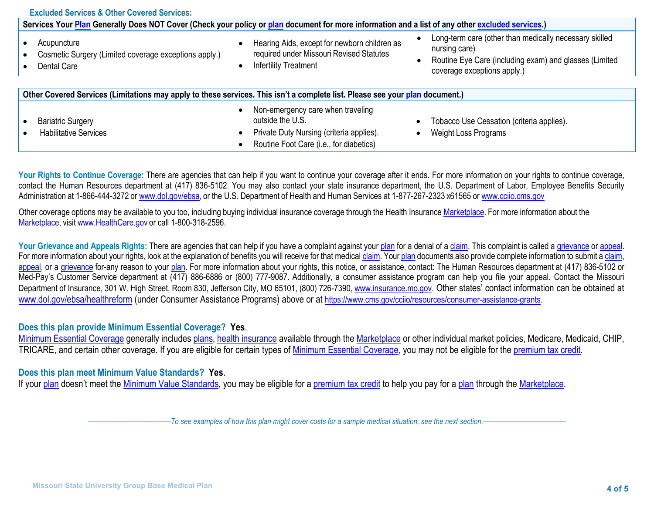| <b>Excluded Services &amp; Other Covered Services:</b>                                                                                           |                                                                                                                                                           |                                                                                                                                                                  |  |  |  |  |
|--------------------------------------------------------------------------------------------------------------------------------------------------|-----------------------------------------------------------------------------------------------------------------------------------------------------------|------------------------------------------------------------------------------------------------------------------------------------------------------------------|--|--|--|--|
| Services Your Plan Generally Does NOT Cover (Check your policy or plan document for more information and a list of any other excluded services.) |                                                                                                                                                           |                                                                                                                                                                  |  |  |  |  |
| Acupuncture<br>Cosmetic Surgery (Limited coverage exceptions apply.)<br>Dental Care                                                              | Hearing Aids, except for newborn children as<br>required under Missouri Revised Statutes<br>nfertility Treatment<br>$\bullet$                             | Long-term care (other than medically necessary skilled<br>nursing care)<br>Routine Eye Care (including exam) and glasses (Limited<br>coverage exceptions apply.) |  |  |  |  |
| Other Covered Services (Limitations may apply to these services. This isn't a complete list. Please see your plan document.)                     |                                                                                                                                                           |                                                                                                                                                                  |  |  |  |  |
| <b>Bariatric Surgery</b><br><b>Habilitative Services</b>                                                                                         | Non-emergency care when traveling<br>$\bullet$<br>outside the U.S.<br>Private Duty Nursing (criteria applies).<br>Routine Foot Care (i.e., for diabetics) | Tobacco Use Cessation (criteria applies).<br><b>Weight Loss Programs</b>                                                                                         |  |  |  |  |

Your Rights to Continue Coverage: There are agencies that can help if you want to continue your coverage after it ends. For more information on your rights to continue coverage, contact the Human Resources department at (417) 836-5102. You may also contact your state insurance department, the U.S. Department of Labor, Employee Benefits Security Administration at 1-866-444-3272 or [www.dol.gov/ebsa,](http://www.dol.gov/ebsa) or the U.S. Department of Health and Human Services at 1-877-267-2323 x61565 or [www.cciio.cms.gov](http://www.cciio.cms.gov/)

Other coverage options may be available to you too, including buying individual insurance coverage through the Health Insurance [Marketplace.](https://www.healthcare.gov/sbc-glossary/#marketplace) For more information about the [Marketplace,](https://www.healthcare.gov/sbc-glossary/#marketplace) visit [www.HealthCare.gov](http://www.healthcare.gov/) or call 1-800-318-2596.

Your Grievance and Appeals Rights: There are agencies that can help if you have a complaint against your [plan](https://www.healthcare.gov/sbc-glossary/#plan) for a denial of a [claim.](https://www.healthcare.gov/sbc-glossary/#claim) This complaint is called a [grievance](https://www.healthcare.gov/sbc-glossary/#grievance) o[r appeal.](https://www.healthcare.gov/sbc-glossary/#appeal) For more information about your rights, look at the explanation of benefits you will receive for that medical [claim.](https://www.healthcare.gov/sbc-glossary/#claim) Your [plan](https://www.healthcare.gov/sbc-glossary/#plan) documents also provide complete information to submit a [claim,](https://www.healthcare.gov/sbc-glossary/#claim) [appeal,](https://www.healthcare.gov/sbc-glossary/#appeal) or a [grievance](https://www.healthcare.gov/sbc-glossary/#grievance) for any reason to your [plan.](https://www.healthcare.gov/sbc-glossary/#plan) For more information about your rights, this notice, or assistance, contact: The Human Resources department at (417) 836-5102 or Med-Pay's Customer Service department at (417) 886-6886 or (800) 777-9087. Additionally, a consumer assistance program can help you file your appeal. Contact the Missouri Department of Insurance, 301 W. High Street, Room 830, Jefferson City, MO 65101, (800) 726-7390, [www.insurance.mo.gov.](http://www.insurance.mo.gov/) Other states' contact information can be obtained at [www.dol.gov/ebsa/healthreform](http://www.dol.gov/ebsa/healthreform) (under Consumer Assistance Programs) above or at https://www.cms.gov/ccijo/resources/consumer-assistance-grants.

## **Does this plan provide Minimum Essential Coverage? Yes**.

[Minimum Essential Coverage](https://www.healthcare.gov/sbc-glossary/#minimum-essential-coverage) generally includes [plans,](https://www.healthcare.gov/sbc-glossary/#plan) [health insurance](https://www.healthcare.gov/sbc-glossary/#health-insurance) available through the [Marketplace](https://www.healthcare.gov/sbc-glossary/#marketplace) or other individual market policies, Medicare, Medicaid, CHIP, TRICARE, and certain other coverage. If you are eligible for certain types of [Minimum Essential Coverage,](https://www.healthcare.gov/sbc-glossary/#minimum-essential-coverage) you may not be eligible for the [premium tax credit.](https://www.healthcare.gov/sbc-glossary/#premium-tax-credits)

## **Does this plan meet Minimum Value Standards? Yes**.

If your [plan](https://www.healthcare.gov/sbc-glossary/#plan) doesn't meet the [Minimum Value Standards,](https://www.healthcare.gov/sbc-glossary/#minimum-value-standard) you may be eligible for a [premium tax credit](https://www.healthcare.gov/sbc-glossary/#premium-tax-credits) to help you pay for a [plan](https://www.healthcare.gov/sbc-glossary/#plan) through the [Marketplace.](https://www.healthcare.gov/sbc-glossary/#marketplace)

––––––––––––––––––––––*To see examples of how this plan might cover costs for a sample medical situation, see the next section.–––––––––––*–––––––––––